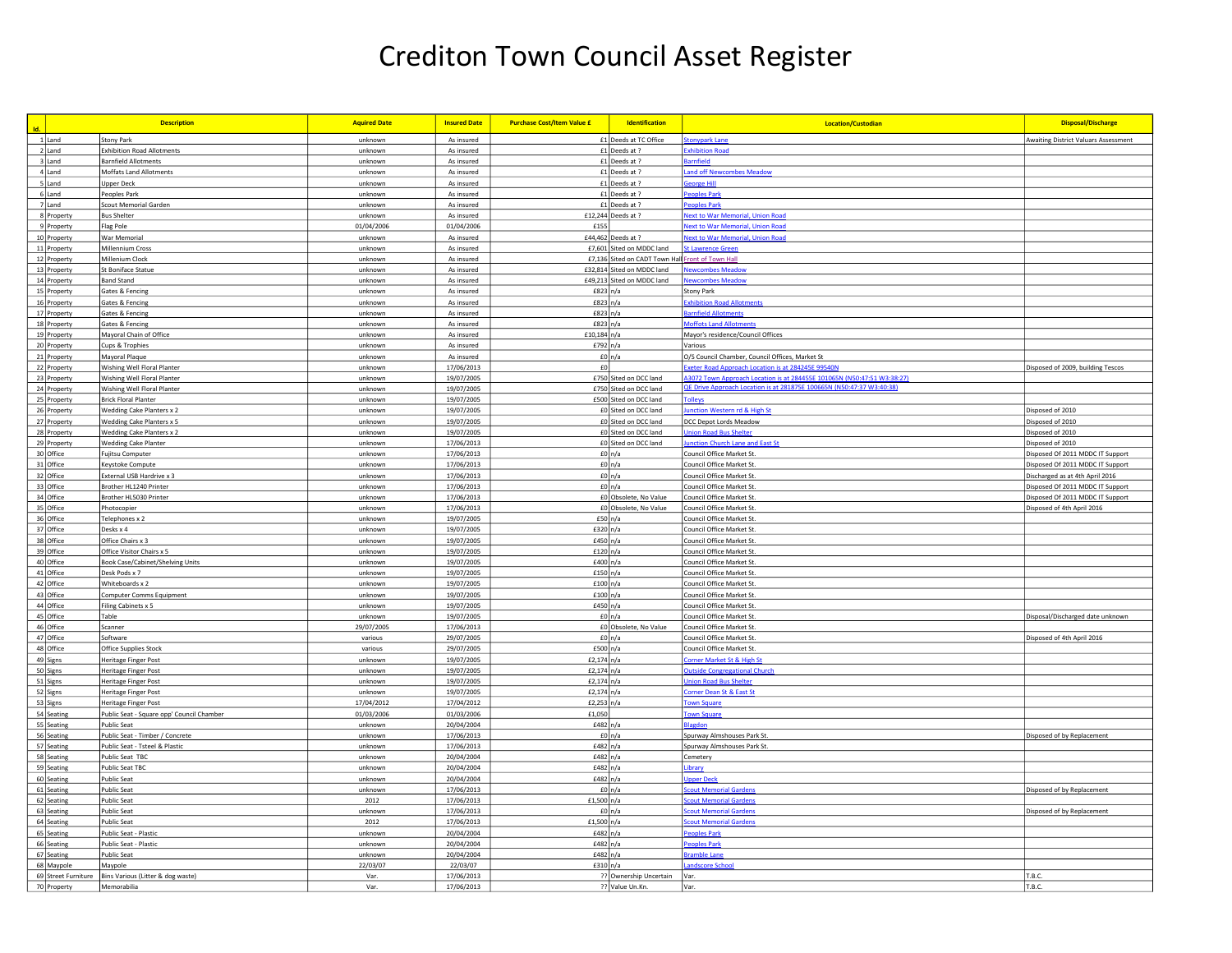## Crediton Town Council Asset Register

| Id.                        | <b>Description</b>                                      | <b>Aquired Date</b>   | <b>Insured Date</b>      | <b>Purchase Cost/Item Value £</b> | <b>Identification</b>                                                           | Location/Custodian                                                      | <b>Disposal/Discharge</b>                            |
|----------------------------|---------------------------------------------------------|-----------------------|--------------------------|-----------------------------------|---------------------------------------------------------------------------------|-------------------------------------------------------------------------|------------------------------------------------------|
| 1 Land                     | Stony Park                                              | unknown               | As insured               |                                   | £1 Deeds at TC Office                                                           | <b>itonypark Lane</b>                                                   | <b>Awaiting District Valuars Assessment</b>          |
| $2$ Land                   | <b>Exhibition Road Allotments</b>                       | unknown               | As insured               |                                   | £1 Deeds at ?                                                                   | <b>Exhibition Road</b>                                                  |                                                      |
| 3 Land                     | <b>Barnfield Allotments</b>                             | unknown               | As insured               |                                   | £1 Deeds at ?                                                                   | <b>Sarnfield</b>                                                        |                                                      |
| 4 Land<br>5 Land           | Moffats Land Allotments<br><b>Upper Deck</b>            | unknown<br>unknown    | As insured<br>As insured |                                   | £1 Deeds at ?<br>£1 Deeds at ?                                                  | and off Newcombes Meadow<br>Seorge Hill                                 |                                                      |
| 6 Land                     | Peoples Park                                            | unknown               | As insured               |                                   | £1 Deeds at ?                                                                   | eoples Park                                                             |                                                      |
| 7 Land                     | Scout Memorial Garden                                   | unknown               | As insured               |                                   | £1 Deeds at ?                                                                   | onles Par                                                               |                                                      |
| 8 Property                 | <b>Bus Shelter</b>                                      | unknown               | As insured               |                                   | £12,244 Deeds at ?                                                              | <b>Vext to War Memorial, Union Roa</b>                                  |                                                      |
| 9 Property                 | Flag Pole                                               | 01/04/2006            | 01/04/2006               | £155                              |                                                                                 | ext to War Mer                                                          |                                                      |
| 10 Property                | War Memorial                                            | unknown               | As insured               |                                   | £44,462 Deeds at ?                                                              | ext to War Me                                                           |                                                      |
| 11 Property                | Millennium Cross                                        | unknown               | As insured               |                                   | £7,601 Sited on MDDC land                                                       | t Lawrence Greer                                                        |                                                      |
| 12 Property                | Millenium Clock                                         | unknowr               | As insured               |                                   | £7,136 Sited on CADT Town Hall Front of Town Hall<br>£32,814 Sited on MDDC land |                                                                         |                                                      |
| 13 Property<br>14 Property | St Boniface Statue<br><b>Band Stand</b>                 | unknown<br>unknown    | As insured<br>As insured |                                   | £49,213 Sited on MDDC land                                                      | ewcombes Meadow<br><b>Lewcombes Meadow</b>                              |                                                      |
| 15 Property                | Gates & Fencing                                         | unknown               | As insured               | £823 n/a                          |                                                                                 | <b>Stony Park</b>                                                       |                                                      |
| 16 Property                | Gates & Fencing                                         | unknown               | As insured               | £823 n/a                          |                                                                                 | shibition Road Allotment                                                |                                                      |
| 17 Property                | Gates & Fencing                                         | unknown               | As insured               | £823 n/a                          |                                                                                 | <b>Barnfield Allotments</b>                                             |                                                      |
| 18 Property                | <b>Gates &amp; Fencing</b>                              | unknown               | As insured               | £823 n/a                          |                                                                                 | <b>Moffots Land Allotments</b>                                          |                                                      |
| 19 Property                | Mayoral Chain of Office                                 | unknown               | As insured               | £10,184 n/a                       |                                                                                 | Mayor's residence/Council Offices                                       |                                                      |
| 20 Property<br>21 Property | Cups & Trophies<br>Mayoral Plaque                       | unknown<br>unknown    | As insured<br>As insured | £792 n/a<br>£0 n/a                |                                                                                 | Various<br>O/S Council Chamber, Council Offices, Market St              |                                                      |
| 22 Property                | Wishing Well Floral Planter                             | unknown               | 17/06/2013               | £0                                |                                                                                 | xeter Road Approach Location is at 284245E 99540N                       | Disposed of 2009, building Tescos                    |
| 23 Property                | Wishing Well Floral Planter                             | unknown               | 19/07/2005               |                                   | £750 Sited on DCC land                                                          | 43072 Town Approach Location is at 284455E 101065N (N50:47:51 W3:38:27) |                                                      |
| 24 Property                | Wishing Well Floral Planter                             | unknown               | 19/07/2005               |                                   | £750 Sited on DCC land                                                          | QE Drive Approach Location is at 281875E 100665N (N50:47:37 W3:40:38)   |                                                      |
| 25 Property                | <b>Brick Floral Planter</b>                             | unknown               | 19/07/2005               |                                   | £500 Sited on DCC land                                                          | olleys                                                                  |                                                      |
| 26 Property                | <b>Wedding Cake Planters x 2</b>                        | unknown               | 19/07/2005               |                                   | £0 Sited on DCC land                                                            | unction Western rd & High St                                            | Disposed of 2010                                     |
| 27 Property                | <b>Wedding Cake Planters x 5</b>                        | unknown               | 19/07/2005               |                                   | £0 Sited on DCC land                                                            | <b>DCC Depot Lords Meadow</b>                                           | Disposed of 2010                                     |
| 28 Property                | <b>Wedding Cake Planters x 2</b>                        | unknown               | 19/07/2005               |                                   | £0 Sited on DCC land<br>£0 Sited on DCC land                                    | Inion Road Bus Shelter<br>unction Church Lane and East St               | Disposed of 2010                                     |
| 29 Property<br>30 Office   | <b>Wedding Cake Planter</b><br><b>Fujitsu Computer</b>  | unknown<br>unknown    | 17/06/2013<br>17/06/2013 | $f0 \mid n/a$                     |                                                                                 | Council Office Market St.                                               | Disposed of 2010<br>Disposed Of 2011 MDDC IT Support |
| 31 Office                  | Keystoke Compute                                        | unknown               | 17/06/2013               | £0 n/a                            |                                                                                 | Council Office Market St                                                | Disposed Of 2011 MDDC IT Support                     |
| 32 Office                  | External USB Hardrive x 3                               | unknown               | 17/06/2013               | $f0 \mid n/a$                     |                                                                                 | Council Office Market St                                                | Discharged as at 4th April 2016                      |
| 33 Office                  | Brother HL1240 Printer                                  | unknown               | 17/06/2013               | $f0 \mid n/a$                     |                                                                                 | Council Office Market St                                                | Disposed Of 2011 MDDC IT Support                     |
| 34 Office                  | Brother HL5030 Printer                                  | unknowr               | 17/06/2013               |                                   | £0 Obsolete, No Value                                                           | Council Office Market St                                                | Disposed Of 2011 MDDC IT Suppor                      |
| 35 Office                  | Photocopier                                             | unknown               | 17/06/2013               |                                   | £0 Obsolete, No Value                                                           | Council Office Market St.                                               | Disposed of 4th April 2016                           |
| 36 Office<br>37 Office     | Telephones x 2<br>Desks x 4                             | unknown<br>unknown    | 19/07/2005<br>19/07/2005 | £50 n/a<br>£320 n/a               |                                                                                 | Council Office Market St<br>Council Office Market St.                   |                                                      |
| 38 Office                  | Office Chairs x 3                                       | unknown               | 19/07/2005               | £450 n/a                          |                                                                                 | Council Office Market St.                                               |                                                      |
| 39 Office                  | Office Visitor Chairs x 5                               | unknown               | 19/07/2005               | f120n/a                           |                                                                                 | Council Office Market St.                                               |                                                      |
| 40 Office                  | Book Case/Cabinet/Shelving Units                        | unknown               | 19/07/2005               | £400 n/a                          |                                                                                 | Council Office Market St.                                               |                                                      |
| 41 Office                  | Desk Pods x 7                                           | unknown               | 19/07/2005               | £150 n/a                          |                                                                                 | Council Office Market St.                                               |                                                      |
| 42 Office                  | Whiteboards x 2                                         | unknown               | 19/07/2005               | £100 n/a                          |                                                                                 | Council Office Market St.                                               |                                                      |
| 43 Office<br>44 Office     | <b>Computer Comms Equipment</b><br>Filing Cabinets x 5  | unknown<br>unknown    | 19/07/2005               | £100 n/a<br>£450 n/a              |                                                                                 | Council Office Market St<br>Council Office Market St.                   |                                                      |
| 45 Office                  | Table                                                   | unknown               | 19/07/2005<br>19/07/2005 | $f0 \mid n/a$                     |                                                                                 | Council Office Market St                                                | Disposal/Discharged date unknown                     |
| 46 Office                  | Scanner                                                 | 29/07/2005            | 17/06/2013               |                                   | £0 Obsolete, No Value                                                           | Council Office Market St.                                               |                                                      |
| 47 Office                  | Software                                                | various               | 29/07/2005               | $f0 \mid n/a$                     |                                                                                 | Council Office Market St                                                | Disposed of 4th April 2016                           |
| 48 Office                  | Office Supplies Stock                                   | various               | 29/07/2005               | £500 n/a                          |                                                                                 | Council Office Market St.                                               |                                                      |
| 49 Signs                   | Heritage Finger Post                                    | unknown               | 19/07/2005               | £2,174 n/a                        |                                                                                 | orner Market St & High S                                                |                                                      |
| 50 Signs                   | <b>Heritage Finger Post</b>                             | unknown               | 19/07/2005               | £2,174 n/a                        |                                                                                 | <b>Outside Congregational Churc</b>                                     |                                                      |
| 51 Signs                   | <b>Heritage Finger Post</b>                             | unknown               | 19/07/2005<br>19/07/2005 | £2,174 n/a<br>£2,174 n/a          |                                                                                 | nion Road Bus Shelte<br>orner Dean St & East St                         |                                                      |
| 52 Signs<br>53 Signs       | <b>Heritage Finger Post</b><br>Heritage Finger Post     | unknown<br>17/04/2012 | 17/04/2012               | £2,253 n/a                        |                                                                                 | own Square                                                              |                                                      |
| 54 Seating                 | Public Seat - Square opp' Council Chamber               | 01/03/2006            | 01/03/2006               | £1,050                            |                                                                                 | own Square                                                              |                                                      |
| 55 Seating                 | Public Seat                                             | unknown               | 20/04/2004               | £482 n/a                          |                                                                                 | <b>Slagdon</b>                                                          |                                                      |
| 56 Seating                 | Public Seat - Timber / Concrete                         | unknown               | 17/06/2013               | £0 n/a                            |                                                                                 | Spurway Almshouses Park St.                                             | Disposed of by Replacement                           |
| 57 Seating                 | Public Seat - Tsteel & Plastic                          | unknown               | 17/06/2013               | £482 n/a                          |                                                                                 | Spurway Almshouses Park St                                              |                                                      |
| 58 Seating                 | Public Seat TBC                                         | unknown               | 20/04/2004               | £482 $n/a$                        |                                                                                 | Cemetery                                                                |                                                      |
| 59 Seating<br>60 Seating   | <b>Public Seat TBC</b><br>Public Seat                   | unknowr<br>unknowr    | 20/04/2004<br>20/04/2004 | £482 n/a<br>£482 n/a              |                                                                                 | hrar<br>pper Deck                                                       |                                                      |
| 61 Seating                 | <b>Public Seat</b>                                      | unknown               | 17/06/2013               | £0 n/a                            |                                                                                 | out Memorial Garden                                                     | Disposed of by Replacement                           |
| 62 Seating                 | <b>Public Seat</b>                                      | 2012                  | 17/06/2013               | £1,500 n/a                        |                                                                                 | out Mem                                                                 |                                                      |
| 63 Seating                 | <b>Public Seat</b>                                      | unknown               | 17/06/2013               | f0n/a                             |                                                                                 | ut Memo                                                                 | Disposed of by Replacement                           |
| 64 Seating                 | <b>Public Seat</b>                                      | 2012                  | 17/06/2013               | £1,500 n/a                        |                                                                                 | out Memorial Garden                                                     |                                                      |
| 65 Seating                 | Public Seat - Plastic                                   | unknown               | 20/04/2004               | £482 n/a                          |                                                                                 | oples Park                                                              |                                                      |
| 66 Seating                 | Public Seat - Plastic                                   | unknown               | 20/04/2004               | £482 n/a                          |                                                                                 | oples Park                                                              |                                                      |
| 67 Seating                 | <b>Public Seat</b><br>Maypole                           | unknown<br>22/03/07   | 20/04/2004<br>22/03/07   | £482 n/a<br>£310 n/a              |                                                                                 | ramble Lane<br>andscore School                                          |                                                      |
| 68 Maypole                 | 69 Street Furniture   Bins Various (Litter & dog waste) | Var.                  | 17/06/2013               |                                   | ?? Ownership Uncertain                                                          | Var.                                                                    | T.B.C.                                               |
| 70 Property                | Memorabilia                                             | Var.                  | 17/06/2013               |                                   | ?? Value Un.Kn.                                                                 | Var.                                                                    | T.B.C.                                               |